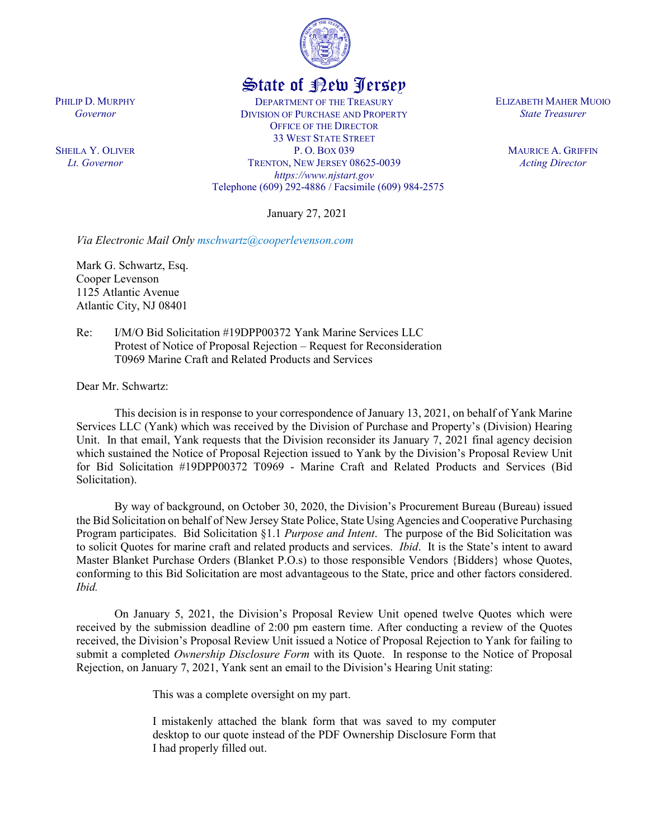

## State of New Jersey

DEPARTMENT OF THE TREASURY DIVISION OF PURCHASE AND PROPERTY OFFICE OF THE DIRECTOR 33 WEST STATE STREET P. O. BOX 039 TRENTON, NEW JERSEY 08625-0039 *https://www.njstart.gov* Telephone (609) 292-4886 / Facsimile (609) 984-2575

January 27, 2021

*Via Electronic Mail Only [mschwartz@cooperlevenson.com](mailto:mschwartz@cooperlevenson.com)* 

Mark G. Schwartz, Esq. Cooper Levenson 1125 Atlantic Avenue Atlantic City, NJ 08401

Re: I/M/O Bid Solicitation #19DPP00372 Yank Marine Services LLC Protest of Notice of Proposal Rejection – Request for Reconsideration T0969 Marine Craft and Related Products and Services

Dear Mr. Schwartz:

This decision is in response to your correspondence of January 13, 2021, on behalf of Yank Marine Services LLC (Yank) which was received by the Division of Purchase and Property's (Division) Hearing Unit. In that email, Yank requests that the Division reconsider its January 7, 2021 final agency decision which sustained the Notice of Proposal Rejection issued to Yank by the Division's Proposal Review Unit for Bid Solicitation #19DPP00372 T0969 - Marine Craft and Related Products and Services (Bid Solicitation).

By way of background, on October 30, 2020, the Division's Procurement Bureau (Bureau) issued the Bid Solicitation on behalf of New Jersey State Police, State Using Agencies and Cooperative Purchasing Program participates. Bid Solicitation §1.1 *Purpose and Intent*. The purpose of the Bid Solicitation was to solicit Quotes for marine craft and related products and services. *Ibid*. It is the State's intent to award Master Blanket Purchase Orders (Blanket P.O.s) to those responsible Vendors {Bidders} whose Quotes, conforming to this Bid Solicitation are most advantageous to the State, price and other factors considered. *Ibid.* 

On January 5, 2021, the Division's Proposal Review Unit opened twelve Quotes which were received by the submission deadline of 2:00 pm eastern time. After conducting a review of the Quotes received, the Division's Proposal Review Unit issued a Notice of Proposal Rejection to Yank for failing to submit a completed *Ownership Disclosure Form* with its Quote. In response to the Notice of Proposal Rejection, on January 7, 2021, Yank sent an email to the Division's Hearing Unit stating:

This was a complete oversight on my part.

I mistakenly attached the blank form that was saved to my computer desktop to our quote instead of the PDF Ownership Disclosure Form that I had properly filled out.

PHILIP D. MURPHY *Governor*

SHEILA Y. OLIVER *Lt. Governor*

ELIZABETH MAHER MUOIO *State Treasurer*

> MAURICE A. GRIFFIN *Acting Director*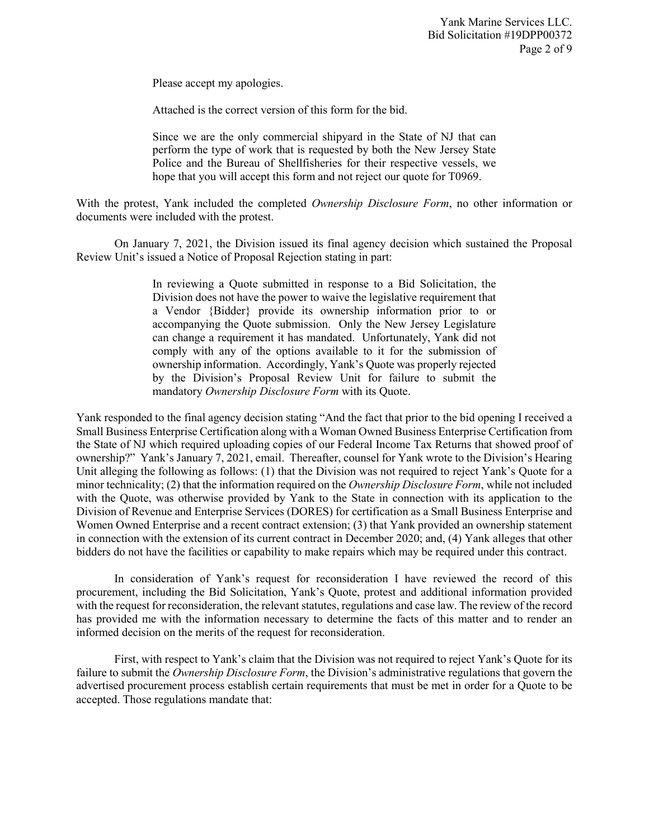Please accept my apologies.

Attached is the correct version of this form for the bid.

Since we are the only commercial shipyard in the State of NJ that can perform the type of work that is requested by both the New Jersey State Police and the Bureau of Shellfisheries for their respective vessels, we hope that you will accept this form and not reject our quote for T0969.

With the protest, Yank included the completed *Ownership Disclosure Form*, no other information or documents were included with the protest.

On January 7, 2021, the Division issued its final agency decision which sustained the Proposal Review Unit's issued a Notice of Proposal Rejection stating in part:

> In reviewing a Quote submitted in response to a Bid Solicitation, the Division does not have the power to waive the legislative requirement that a Vendor {Bidder} provide its ownership information prior to or accompanying the Quote submission. Only the New Jersey Legislature can change a requirement it has mandated. Unfortunately, Yank did not comply with any of the options available to it for the submission of ownership information. Accordingly, Yank's Quote was properly rejected by the Division's Proposal Review Unit for failure to submit the mandatory *Ownership Disclosure Form* with its Quote.

Yank responded to the final agency decision stating "And the fact that prior to the bid opening I received a Small Business Enterprise Certification along with a Woman Owned Business Enterprise Certification from the State of NJ which required uploading copies of our Federal Income Tax Returns that showed proof of ownership?" Yank's January 7, 2021, email. Thereafter, counsel for Yank wrote to the Division's Hearing Unit alleging the following as follows: (1) that the Division was not required to reject Yank's Quote for a minor technicality; (2) that the information required on the *Ownership Disclosure Form*, while not included with the Quote, was otherwise provided by Yank to the State in connection with its application to the Division of Revenue and Enterprise Services (DORES) for certification as a Small Business Enterprise and Women Owned Enterprise and a recent contract extension; (3) that Yank provided an ownership statement in connection with the extension of its current contract in December 2020; and, (4) Yank alleges that other bidders do not have the facilities or capability to make repairs which may be required under this contract.

In consideration of Yank's request for reconsideration I have reviewed the record of this procurement, including the Bid Solicitation, Yank's Quote, protest and additional information provided with the request for reconsideration, the relevant statutes, regulations and case law. The review of the record has provided me with the information necessary to determine the facts of this matter and to render an informed decision on the merits of the request for reconsideration.

First, with respect to Yank's claim that the Division was not required to reject Yank's Quote for its failure to submit the *Ownership Disclosure Form*, the Division's administrative regulations that govern the advertised procurement process establish certain requirements that must be met in order for a Quote to be accepted. Those regulations mandate that: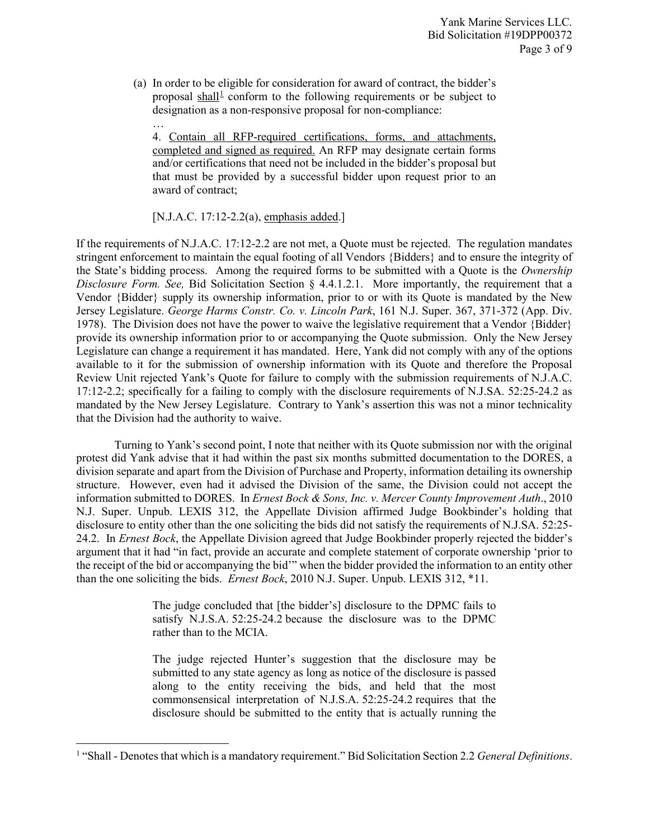(a) In order to be eligible for consideration for award of contract, the bidder's proposal shall<sup>[1](#page-2-0)</sup> conform to the following requirements or be subject to designation as a non-responsive proposal for non-compliance:

4. Contain all RFP-required certifications, forms, and attachments, completed and signed as required. An RFP may designate certain forms and/or certifications that need not be included in the bidder's proposal but that must be provided by a successful bidder upon request prior to an award of contract;

## [N.J.A.C. 17:12-2.2(a), emphasis added.]

…

l

If the requirements of N.J.A.C. 17:12-2.2 are not met, a Quote must be rejected. The regulation mandates stringent enforcement to maintain the equal footing of all Vendors {Bidders} and to ensure the integrity of the State's bidding process. Among the required forms to be submitted with a Quote is the *Ownership Disclosure Form. See,* Bid Solicitation Section § 4.4.1.2.1. More importantly, the requirement that a Vendor {Bidder} supply its ownership information, prior to or with its Quote is mandated by the New Jersey Legislature. *George Harms Constr. Co. v. Lincoln Park*, 161 N.J. Super. 367, 371-372 (App. Div. 1978). The Division does not have the power to waive the legislative requirement that a Vendor {Bidder} provide its ownership information prior to or accompanying the Quote submission. Only the New Jersey Legislature can change a requirement it has mandated. Here, Yank did not comply with any of the options available to it for the submission of ownership information with its Quote and therefore the Proposal Review Unit rejected Yank's Quote for failure to comply with the submission requirements of N.J.A.C. 17:12-2.2; specifically for a failing to comply with the disclosure requirements of N.J.SA. 52:25-24.2 as mandated by the New Jersey Legislature. Contrary to Yank's assertion this was not a minor technicality that the Division had the authority to waive.

Turning to Yank's second point, I note that neither with its Quote submission nor with the original protest did Yank advise that it had within the past six months submitted documentation to the DORES, a division separate and apart from the Division of Purchase and Property, information detailing its ownership structure. However, even had it advised the Division of the same, the Division could not accept the information submitted to DORES. In *Ernest Bock & Sons, Inc. v. Mercer County Improvement Auth*., 2010 N.J. Super. Unpub. LEXIS 312, the Appellate Division affirmed Judge Bookbinder's holding that disclosure to entity other than the one soliciting the bids did not satisfy the requirements of N.J.SA. 52:25- 24.2. In *Ernest Bock*, the Appellate Division agreed that Judge Bookbinder properly rejected the bidder's argument that it had "in fact, provide an accurate and complete statement of corporate ownership 'prior to the receipt of the bid or accompanying the bid'" when the bidder provided the information to an entity other than the one soliciting the bids. *Ernest Bock*, 2010 N.J. Super. Unpub. LEXIS 312, \*11.

> The judge concluded that [the bidder's] disclosure to the DPMC fails to satisfy N.J.S.A. 52:25-24.2 because the disclosure was to the DPMC rather than to the MCIA.

> The judge rejected Hunter's suggestion that the disclosure may be submitted to any state agency as long as notice of the disclosure is passed along to the entity receiving the bids, and held that the most commonsensical interpretation of N.J.S.A. 52:25-24.2 requires that the disclosure should be submitted to the entity that is actually running the

<span id="page-2-0"></span><sup>&</sup>lt;sup>1</sup> "Shall - Denotes that which is a mandatory requirement." Bid Solicitation Section 2.2 *General Definitions*.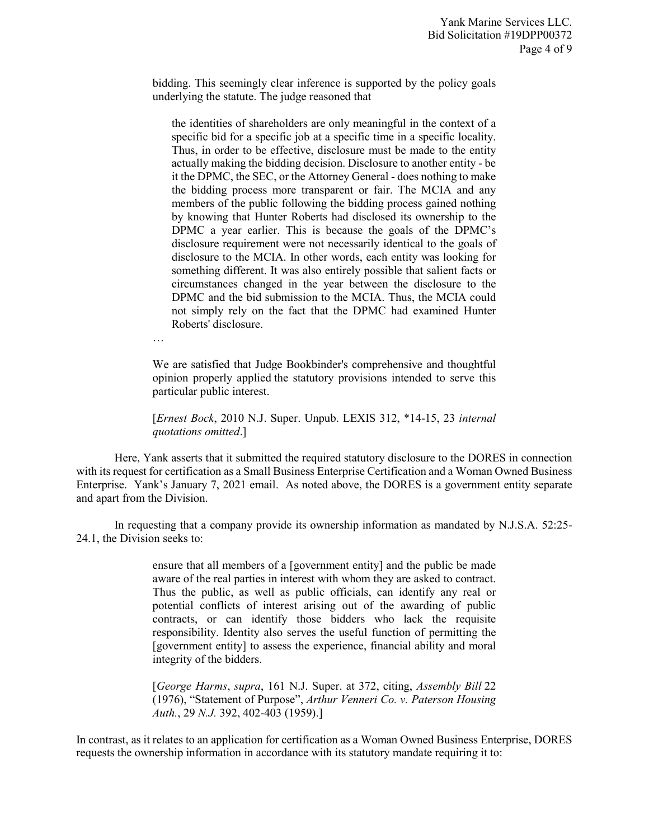bidding. This seemingly clear inference is supported by the policy goals underlying the statute. The judge reasoned that

the identities of shareholders are only meaningful in the context of a specific bid for a specific job at a specific time in a specific locality. Thus, in order to be effective, disclosure must be made to the entity actually making the bidding decision. Disclosure to another entity - be it the DPMC, the SEC, or the Attorney General - does nothing to make the bidding process more transparent or fair. The MCIA and any members of the public following the bidding process gained nothing by knowing that Hunter Roberts had disclosed its ownership to the DPMC a year earlier. This is because the goals of the DPMC's disclosure requirement were not necessarily identical to the goals of disclosure to the MCIA. In other words, each entity was looking for something different. It was also entirely possible that salient facts or circumstances changed in the year between the disclosure to the DPMC and the bid submission to the MCIA. Thus, the MCIA could not simply rely on the fact that the DPMC had examined Hunter Roberts' disclosure.

…

We are satisfied that Judge Bookbinder's comprehensive and thoughtful opinion properly applied the statutory provisions intended to serve this particular public interest.

[*Ernest Bock*, 2010 N.J. Super. Unpub. LEXIS 312, \*14-15, 23 *internal quotations omitted*.]

Here, Yank asserts that it submitted the required statutory disclosure to the DORES in connection with its request for certification as a Small Business Enterprise Certification and a Woman Owned Business Enterprise. Yank's January 7, 2021 email. As noted above, the DORES is a government entity separate and apart from the Division.

In requesting that a company provide its ownership information as mandated by N.J.S.A. 52:25- 24.1, the Division seeks to:

> ensure that all members of a [government entity] and the public be made aware of the real parties in interest with whom they are asked to contract. Thus the public, as well as public officials, can identify any real or potential conflicts of interest arising out of the awarding of public contracts, or can identify those bidders who lack the requisite responsibility. Identity also serves the useful function of permitting the [government entity] to assess the experience, financial ability and moral integrity of the bidders.

> [*George Harms*, *supra*, 161 N.J. Super. at 372, citing, *Assembly Bill* 22 (1976), "Statement of Purpose", *Arthur Venneri Co. v. Paterson Housing Auth.*, 29 *N.J.* 392, 402-403 (1959).]

In contrast, as it relates to an application for certification as a Woman Owned Business Enterprise, DORES requests the ownership information in accordance with its statutory mandate requiring it to: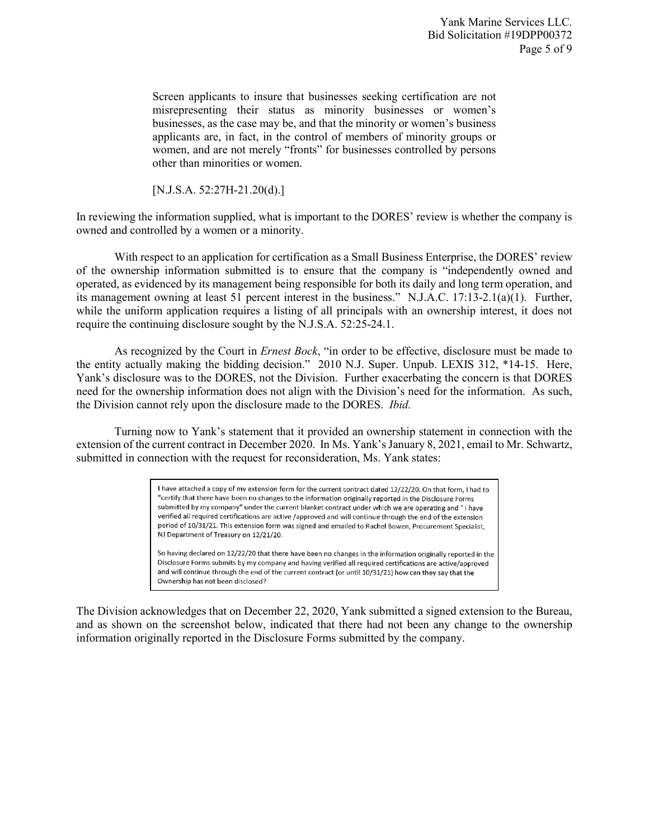Screen applicants to insure that businesses seeking certification are not misrepresenting their status as minority businesses or women's businesses, as the case may be, and that the minority or women's business applicants are, in fact, in the control of members of minority groups or women, and are not merely "fronts" for businesses controlled by persons other than minorities or women.

[N.J.S.A. 52:27H-21.20(d).]

In reviewing the information supplied, what is important to the DORES' review is whether the company is owned and controlled by a women or a minority.

With respect to an application for certification as a Small Business Enterprise, the DORES' review of the ownership information submitted is to ensure that the company is "independently owned and operated, as evidenced by its management being responsible for both its daily and long term operation, and its management owning at least 51 percent interest in the business." N.J.A.C. 17:13-2.1(a)(1). Further, while the uniform application requires a listing of all principals with an ownership interest, it does not require the continuing disclosure sought by the N.J.S.A. 52:25-24.1.

As recognized by the Court in *Ernest Bock*, "in order to be effective, disclosure must be made to the entity actually making the bidding decision." 2010 N.J. Super. Unpub. LEXIS 312, \*14-15. Here, Yank's disclosure was to the DORES, not the Division. Further exacerbating the concern is that DORES need for the ownership information does not align with the Division's need for the information. As such, the Division cannot rely upon the disclosure made to the DORES. *Ibid.*

Turning now to Yank's statement that it provided an ownership statement in connection with the extension of the current contract in December 2020. In Ms. Yank's January 8, 2021, email to Mr. Schwartz, submitted in connection with the request for reconsideration, Ms. Yank states:

> I have attached a copy of my extension form for the current contract dated 12/22/20. On that form, I had to "certify that there have been no changes to the information originally reported in the Disclosure Forms submitted by my company" under the current blanket contract under which we are operating and " I have verified all required certifications are active /approved and will continue through the end of the extension period of 10/31/21. This extension form was signed and emailed to Rachel Bowen, Procurement Specialist, NJ Department of Treasury on 12/21/20.

So having declared on 12/22/20 that there have been no changes in the information originally reported in the Disclosure Forms submits by my company and having verified all required certifications are active/approved and will continue through the end of the current contract (or until 10/31/21) how can they say that the Ownership has not been disclosed?

The Division acknowledges that on December 22, 2020, Yank submitted a signed extension to the Bureau, and as shown on the screenshot below, indicated that there had not been any change to the ownership information originally reported in the Disclosure Forms submitted by the company.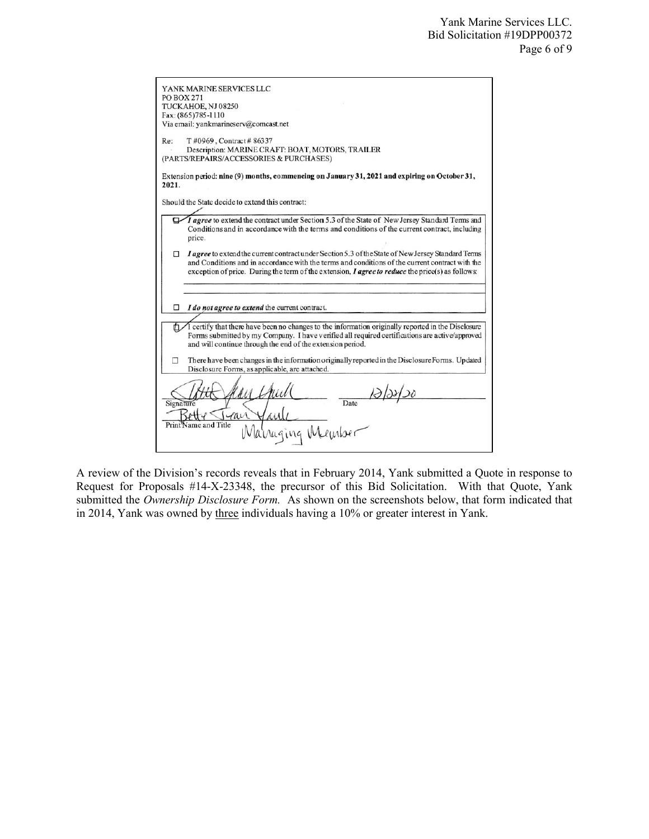| YANK MARINE SERVICES LLC<br><b>PO BOX 271</b><br>TUCKAHOE, NJ 08250<br>Fax: (865)785-1110<br>Via email: yankmarineserv@comcast.net                                                                                                                                                                                            |
|-------------------------------------------------------------------------------------------------------------------------------------------------------------------------------------------------------------------------------------------------------------------------------------------------------------------------------|
| Re:<br>T #0969, Contract # 86337<br>Description: MARINE CRAFT: BOAT, MOTORS, TRAILER<br>(PARTS/REPAIRS/ACCESSORIES & PURCHASES)                                                                                                                                                                                               |
| Extension period: nine (9) months, commencing on January 31, 2021 and expiring on October 31,<br>2021.                                                                                                                                                                                                                        |
| Should the State decide to extend this contract:                                                                                                                                                                                                                                                                              |
| I agree to extend the contract under Section 5.3 of the State of New Jersey Standard Terms and<br>Conditions and in accordance with the terms and conditions of the current contract, including<br>price.                                                                                                                     |
| <i>I agree</i> to extend the current contract under Section 5.3 of the State of New Jersey Standard Terms<br>Π.<br>and Conditions and in accordance with the terms and conditions of the current contract with the<br>exception of price. During the term of the extension, <i>I agree to reduce</i> the price(s) as follows: |
| I do not agree to extend the current contract.<br>□                                                                                                                                                                                                                                                                           |
| I certify that there have been no changes to the information originally reported in the Disclosure<br>O.<br>Forms submitted by my Company. I have verified all required certifications are active/approved<br>and will continue through the end of the extension period.                                                      |
| There have been changes in the information originally reported in the Disclosure Forms. Updated<br>п<br>Disclosure Forms, as applicable, are attached.                                                                                                                                                                        |
| Date<br>Signature<br>rai<br>Print Name and Title<br>raging                                                                                                                                                                                                                                                                    |

A review of the Division's records reveals that in February 2014, Yank submitted a Quote in response to Request for Proposals #14-X-23348, the precursor of this Bid Solicitation. With that Quote, Yank submitted the *Ownership Disclosure Form.* As shown on the screenshots below, that form indicated that in 2014, Yank was owned by three individuals having a 10% or greater interest in Yank.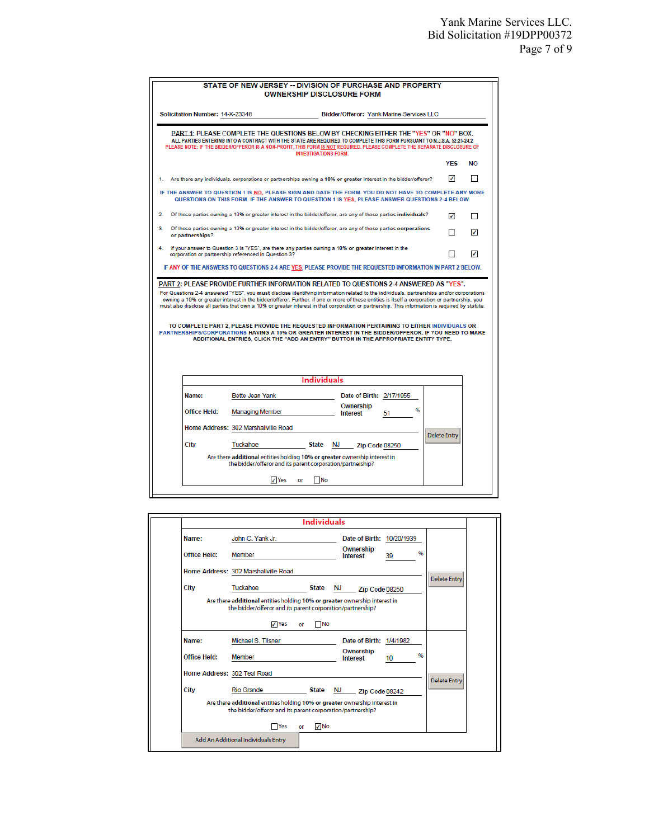| Solicitation Number: 14-X-23348                                                                                                                                                                                                                                                                                                                                                                                                                                                                                                                                                                                                                |                                                                                                                                          |                            |                          | Bidder/Offeror: Yank Marine Services LLC |                     |           |
|------------------------------------------------------------------------------------------------------------------------------------------------------------------------------------------------------------------------------------------------------------------------------------------------------------------------------------------------------------------------------------------------------------------------------------------------------------------------------------------------------------------------------------------------------------------------------------------------------------------------------------------------|------------------------------------------------------------------------------------------------------------------------------------------|----------------------------|--------------------------|------------------------------------------|---------------------|-----------|
|                                                                                                                                                                                                                                                                                                                                                                                                                                                                                                                                                                                                                                                |                                                                                                                                          |                            |                          |                                          |                     |           |
| PART 1: PLEASE COMPLETE THE QUESTIONS BELOW BY CHECKING EITHER THE "YES" OR "NO" BOX.<br>ALL PARTIES ENTERING INTO A CONTRACT WITH THE STATE ARE REQUIRED TO COMPLETE THIS FORM PURSUANT TO N.J.S.A. 52:25-24.2<br>PLEASE NOTE: IF THE BIDDER/OFFEROR IS A NON-PROFIT, THIS FORM IS NOT REQUIRED. PLEASE COMPLETE THE SEPARATE DISCLOSURE OF                                                                                                                                                                                                                                                                                                   |                                                                                                                                          | <b>INVESTIGATIONS FORM</b> |                          |                                          |                     |           |
|                                                                                                                                                                                                                                                                                                                                                                                                                                                                                                                                                                                                                                                |                                                                                                                                          |                            |                          |                                          | <b>YFS</b>          | <b>NO</b> |
| Are there any individuals, corporations or partnerships owning a 10% or greater interest in the bidder/offeror?                                                                                                                                                                                                                                                                                                                                                                                                                                                                                                                                |                                                                                                                                          |                            |                          |                                          | $\checkmark$        |           |
| IF THE ANSWER TO QUESTION 1 IS NO, PLEASE SIGN AND DATE THE FORM. YOU DO NOT HAVE TO COMPLETE ANY MORE                                                                                                                                                                                                                                                                                                                                                                                                                                                                                                                                         | QUESTIONS ON THIS FORM. IF THE ANSWER TO QUESTION 1 IS YES. PLEASE ANSWER QUESTIONS 2-4 BELOW.                                           |                            |                          |                                          |                     |           |
| Of those parties owning a 10% or greater interest in the bidder/offeror, are any of those parties individuals?<br>$\mathbf{2}$                                                                                                                                                                                                                                                                                                                                                                                                                                                                                                                 |                                                                                                                                          |                            |                          |                                          | ✓                   | П         |
| 3.<br>Of those parties owning a 10% or greater interest in the bidder/offeror, are any of those parties corporations<br>or partnerships?                                                                                                                                                                                                                                                                                                                                                                                                                                                                                                       |                                                                                                                                          |                            |                          |                                          | п                   | ς         |
| If your answer to Question 3 is "YES", are there any parties owning a 10% or greater interest in the<br>4.<br>corporation or partnership referenced in Question 3?                                                                                                                                                                                                                                                                                                                                                                                                                                                                             |                                                                                                                                          |                            |                          |                                          |                     | Ñ.        |
| IF ANY OF THE ANSWERS TO QUESTIONS 2-4 ARE YES, PLEASE PROVIDE THE REQUESTED INFORMATION IN PART 2 BELOW.                                                                                                                                                                                                                                                                                                                                                                                                                                                                                                                                      |                                                                                                                                          |                            |                          |                                          |                     |           |
|                                                                                                                                                                                                                                                                                                                                                                                                                                                                                                                                                                                                                                                |                                                                                                                                          |                            |                          |                                          |                     |           |
| TO COMPLETE PART 2. PLEASE PROVIDE THE REQUESTED INFORMATION PERTAINING TO EITHER INDIVIDUALS OR                                                                                                                                                                                                                                                                                                                                                                                                                                                                                                                                               | ADDITIONAL ENTRIES, CLICK THE "ADD AN ENTRY" BUTTON IN THE APPROPRIATE ENTITY TYPE.                                                      |                            |                          |                                          |                     |           |
|                                                                                                                                                                                                                                                                                                                                                                                                                                                                                                                                                                                                                                                |                                                                                                                                          | <b>Individuals</b>         |                          |                                          |                     |           |
| Name:                                                                                                                                                                                                                                                                                                                                                                                                                                                                                                                                                                                                                                          | Bette Jean Yank                                                                                                                          |                            | Date of Birth: 2/17/1955 |                                          |                     |           |
| <b>Office Held:</b>                                                                                                                                                                                                                                                                                                                                                                                                                                                                                                                                                                                                                            | <b>Managing Member</b>                                                                                                                   |                            | Ownership<br>Interest    | %<br>51                                  |                     |           |
|                                                                                                                                                                                                                                                                                                                                                                                                                                                                                                                                                                                                                                                | Home Address: 302 Marshallville Road                                                                                                     |                            |                          |                                          |                     |           |
| City                                                                                                                                                                                                                                                                                                                                                                                                                                                                                                                                                                                                                                           | Tuckahoe                                                                                                                                 |                            | State NJ Zip Code 08250  |                                          | <b>Delete Entry</b> |           |
| PART 2: PLEASE PROVIDE FURTHER INFORMATION RELATED TO QUESTIONS 2-4 ANSWERED AS "YES".<br>For Questions 2-4 answered "YES", you must disclose identifying information related to the individuals, partnerships and/or corporations<br>owning a 10% or greater interest in the bidder/offeror. Further, if one or more of these entities is itself a corporation or partnership, you<br>must also disclose all parties that own a 10% or greater interest in that corporation or partnership. This information is required by statute.<br>PARTNERSHIPS/CORPORATIONS HAVING A 10% OR GREATER INTEREST IN THE BIDDER/OFFEROR. IF YOU NEED TO MAKE | Are there additional entities holding 10% or greater ownership interest in<br>the bidder/offeror and its parent corporation/partnership? |                            |                          |                                          |                     |           |

|                             | <b>Individuals</b>                                                                                                                       |                              |          |                     |
|-----------------------------|------------------------------------------------------------------------------------------------------------------------------------------|------------------------------|----------|---------------------|
| Name:                       | John C. Yank Jr.                                                                                                                         | Date of Birth: 10/20/1939    |          |                     |
| <b>Office Held:</b>         | Member                                                                                                                                   | Ownership<br><b>Interest</b> | 96<br>39 |                     |
|                             | Home Address: 302 Marshallville Road                                                                                                     |                              |          | <b>Delete Entry</b> |
| City                        | Tuckahoe<br><b>State</b>                                                                                                                 | NJ 1999.<br>Zip Code 08250   |          |                     |
|                             | Are there additional entities holding 10% or greater ownership interest in<br>the bidder/offeror and its parent corporation/partnership? |                              |          |                     |
|                             | √ Yes<br><b>No</b><br>or                                                                                                                 |                              |          |                     |
| Name:                       | Michael S. Tilsner                                                                                                                       | Date of Birth: 1/4/1982      |          |                     |
| <b>Office Held:</b>         | Member                                                                                                                                   | Ownership<br><b>Interest</b> | 96<br>10 |                     |
| Home Address: 302 Teal Road |                                                                                                                                          |                              |          |                     |
| City                        | <b>Rio Grande</b><br>State                                                                                                               | NJ 1999<br>Zip Code 08242    |          | <b>Delete Entry</b> |
|                             | Are there additional entities holding 10% or greater ownership interest in<br>the bidder/offeror and its parent corporation/partnership? |                              |          |                     |
|                             | √ No<br><b>TYes</b><br>or                                                                                                                |                              |          |                     |
|                             |                                                                                                                                          |                              |          |                     |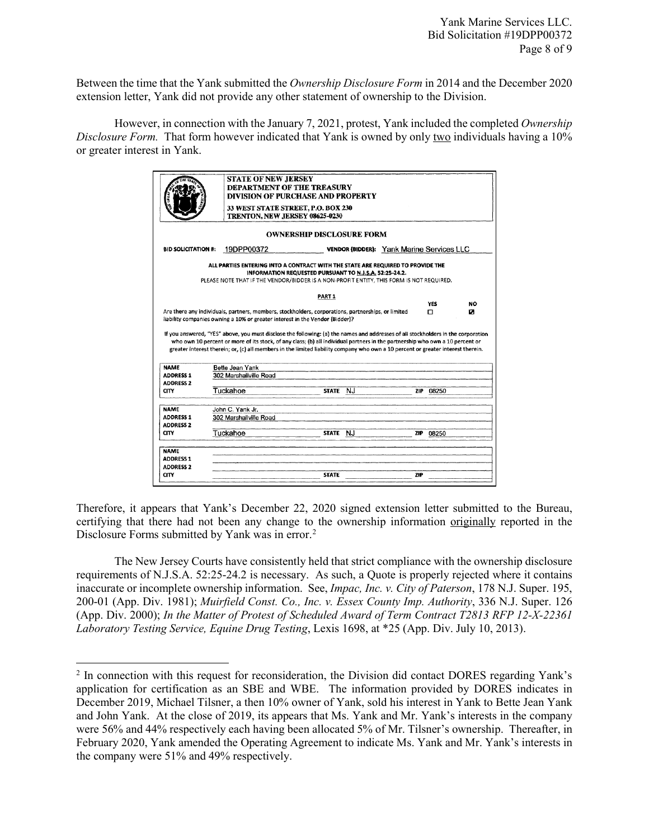Between the time that the Yank submitted the *Ownership Disclosure Form* in 2014 and the December 2020 extension letter, Yank did not provide any other statement of ownership to the Division.

However, in connection with the January 7, 2021, protest, Yank included the completed *Ownership Disclosure Form.* That form however indicated that Yank is owned by only two individuals having a 10% or greater interest in Yank.

|                                                                                                                                                               | DIVISION OF PURCHASE AND PROPERTY<br>33 WEST STATE STREET, P.O. BOX 230<br>TRENTON, NEW JERSEY 08625-0230                                                                                                                                                                                                                                                                                                                 |                                                        |                                           |            |                 |                |
|---------------------------------------------------------------------------------------------------------------------------------------------------------------|---------------------------------------------------------------------------------------------------------------------------------------------------------------------------------------------------------------------------------------------------------------------------------------------------------------------------------------------------------------------------------------------------------------------------|--------------------------------------------------------|-------------------------------------------|------------|-----------------|----------------|
|                                                                                                                                                               |                                                                                                                                                                                                                                                                                                                                                                                                                           | <b>OWNERSHIP DISCLOSURE FORM</b>                       |                                           |            |                 |                |
| <b>BID SOLICITATION #:</b>                                                                                                                                    | 19DPP00372                                                                                                                                                                                                                                                                                                                                                                                                                |                                                        | VENDOR (BIDDER): Yank Marine Services LLC |            |                 |                |
|                                                                                                                                                               | ALL PARTIES ENTERING INTO A CONTRACT WITH THE STATE ARE REQUIRED TO PROVIDE THE<br>PLEASE NOTE THAT IF THE VENDOR/BIDDER IS A NON-PROFIT ENTITY, THIS FORM IS NOT REQUIRED.                                                                                                                                                                                                                                               | INFORMATION REQUESTED PURSUANT TO N.J.S.A. 52:25-24.2. |                                           |            |                 |                |
|                                                                                                                                                               |                                                                                                                                                                                                                                                                                                                                                                                                                           | PART <sub>1</sub>                                      |                                           |            |                 |                |
|                                                                                                                                                               |                                                                                                                                                                                                                                                                                                                                                                                                                           |                                                        |                                           |            | <b>YES</b><br>n | <b>NO</b><br>o |
|                                                                                                                                                               | Are there any individuals, partners, members, stockholders, corporations, partnerships, or limited<br>liability companies owning a 10% or greater interest in the Vendor {Bidder}?                                                                                                                                                                                                                                        |                                                        |                                           |            |                 |                |
|                                                                                                                                                               | If you answered, "YES" above, you must disclose the following: (a) the names and addresses of all stockholders in the corporation<br>who own 10 percent or more of its stock, of any class; (b) all individual partners in the partnership who own a 10 percent or<br>greater interest therein; or, (c) all members in the limited liability company who own a 10 percent or greater interest therein.<br>Bette Jean Yank |                                                        |                                           |            |                 |                |
|                                                                                                                                                               | 302 Marshallville Road                                                                                                                                                                                                                                                                                                                                                                                                    |                                                        |                                           |            |                 |                |
|                                                                                                                                                               | Tuckahoe                                                                                                                                                                                                                                                                                                                                                                                                                  | NJ<br><b>STATE</b>                                     |                                           | ZIP        | 08250           |                |
|                                                                                                                                                               |                                                                                                                                                                                                                                                                                                                                                                                                                           |                                                        |                                           |            |                 |                |
|                                                                                                                                                               | John C. Yank Jr.<br>302 Marshallville Road                                                                                                                                                                                                                                                                                                                                                                                |                                                        |                                           |            |                 |                |
|                                                                                                                                                               |                                                                                                                                                                                                                                                                                                                                                                                                                           |                                                        |                                           |            |                 |                |
|                                                                                                                                                               | Tuckahoe                                                                                                                                                                                                                                                                                                                                                                                                                  | STATE NJ                                               |                                           | <b>ZIP</b> | 08250           |                |
|                                                                                                                                                               |                                                                                                                                                                                                                                                                                                                                                                                                                           |                                                        |                                           |            |                 |                |
| <b>NAME</b><br><b>ADDRESS 1</b><br><b>ADDRESS 2</b><br>CITY<br><b>NAME</b><br><b>ADDRESS 1</b><br><b>ADDRESS 2</b><br>CITY<br><b>NAME</b><br><b>ADDRESS 1</b> |                                                                                                                                                                                                                                                                                                                                                                                                                           |                                                        |                                           |            |                 |                |
| <b>ADDRESS 2</b><br><b>CITY</b>                                                                                                                               |                                                                                                                                                                                                                                                                                                                                                                                                                           | <b>STATE</b>                                           |                                           | <b>ZIP</b> |                 |                |

Therefore, it appears that Yank's December 22, 2020 signed extension letter submitted to the Bureau, certifying that there had not been any change to the ownership information originally reported in the Disclosure Forms submitted by Yank was in error.<sup>[2](#page-7-0)</sup>

The New Jersey Courts have consistently held that strict compliance with the ownership disclosure requirements of N.J.S.A. 52:25-24.2 is necessary. As such, a Quote is properly rejected where it contains inaccurate or incomplete ownership information. See, *Impac, Inc. v. City of Paterson*, 178 N.J. Super. 195, 200-01 (App. Div. 1981); *Muirfield Const. Co., Inc. v. Essex County Imp. Authority*, 336 N.J. Super. 126 (App. Div. 2000); *In the Matter of Protest of Scheduled Award of Term Contract T2813 RFP 12-X-22361 Laboratory Testing Service, Equine Drug Testing*, Lexis 1698, at \*25 (App. Div. July 10, 2013).

 $\overline{\phantom{a}}$ 

<span id="page-7-0"></span><sup>2</sup> In connection with this request for reconsideration, the Division did contact DORES regarding Yank's application for certification as an SBE and WBE. The information provided by DORES indicates in December 2019, Michael Tilsner, a then 10% owner of Yank, sold his interest in Yank to Bette Jean Yank and John Yank. At the close of 2019, its appears that Ms. Yank and Mr. Yank's interests in the company were 56% and 44% respectively each having been allocated 5% of Mr. Tilsner's ownership. Thereafter, in February 2020, Yank amended the Operating Agreement to indicate Ms. Yank and Mr. Yank's interests in the company were 51% and 49% respectively.